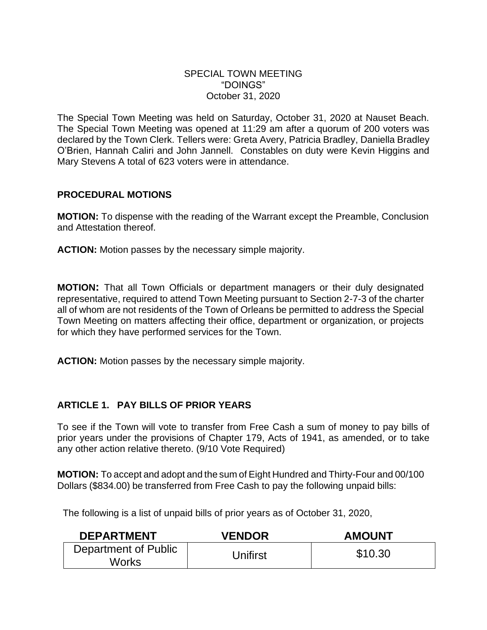### SPECIAL TOWN MEETING "DOINGS" October 31, 2020

The Special Town Meeting was held on Saturday, October 31, 2020 at Nauset Beach. The Special Town Meeting was opened at 11:29 am after a quorum of 200 voters was declared by the Town Clerk. Tellers were: Greta Avery, Patricia Bradley, Daniella Bradley O'Brien, Hannah Caliri and John Jannell. Constables on duty were Kevin Higgins and Mary Stevens A total of 623 voters were in attendance.

## **PROCEDURAL MOTIONS**

**MOTION:** To dispense with the reading of the Warrant except the Preamble, Conclusion and Attestation thereof.

**ACTION:** Motion passes by the necessary simple majority.

**MOTION:** That all Town Officials or department managers or their duly designated representative, required to attend Town Meeting pursuant to Section 2-7-3 of the charter all of whom are not residents of the Town of Orleans be permitted to address the Special Town Meeting on matters affecting their office, department or organization, or projects for which they have performed services for the Town.

**ACTION:** Motion passes by the necessary simple majority.

### **ARTICLE 1. PAY BILLS OF PRIOR YEARS**

To see if the Town will vote to transfer from Free Cash a sum of money to pay bills of prior years under the provisions of Chapter 179, Acts of 1941, as amended, or to take any other action relative thereto. (9/10 Vote Required)

**MOTION:** To accept and adopt and the sum of Eight Hundred and Thirty-Four and 00/100 Dollars (\$834.00) be transferred from Free Cash to pay the following unpaid bills:

The following is a list of unpaid bills of prior years as of October 31, 2020,

| <b>DEPARTMENT</b>             | <b>VENDOR</b> | <b>AMOUNT</b> |
|-------------------------------|---------------|---------------|
| Department of Public<br>Works | Jnifirst      | \$10.30       |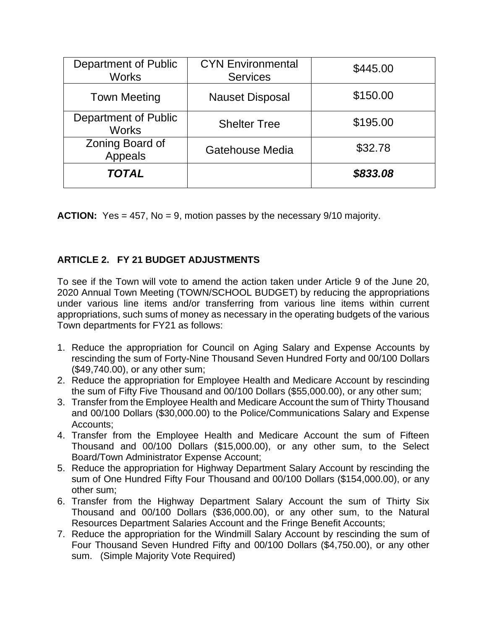| Department of Public<br><b>Works</b>        | <b>CYN Environmental</b><br><b>Services</b> | \$445.00 |
|---------------------------------------------|---------------------------------------------|----------|
| <b>Town Meeting</b>                         | <b>Nauset Disposal</b>                      | \$150.00 |
| <b>Department of Public</b><br><b>Works</b> | <b>Shelter Tree</b>                         | \$195.00 |
| Zoning Board of<br>Appeals                  | Gatehouse Media                             | \$32.78  |
| <b>TOTAL</b>                                |                                             | \$833.08 |

**ACTION:** Yes = 457, No = 9, motion passes by the necessary 9/10 majority.

# **ARTICLE 2. FY 21 BUDGET ADJUSTMENTS**

To see if the Town will vote to amend the action taken under Article 9 of the June 20, 2020 Annual Town Meeting (TOWN/SCHOOL BUDGET) by reducing the appropriations under various line items and/or transferring from various line items within current appropriations, such sums of money as necessary in the operating budgets of the various Town departments for FY21 as follows:

- 1. Reduce the appropriation for Council on Aging Salary and Expense Accounts by rescinding the sum of Forty-Nine Thousand Seven Hundred Forty and 00/100 Dollars (\$49,740.00), or any other sum;
- 2. Reduce the appropriation for Employee Health and Medicare Account by rescinding the sum of Fifty Five Thousand and 00/100 Dollars (\$55,000.00), or any other sum;
- 3. Transfer from the Employee Health and Medicare Account the sum of Thirty Thousand and 00/100 Dollars (\$30,000.00) to the Police/Communications Salary and Expense Accounts;
- 4. Transfer from the Employee Health and Medicare Account the sum of Fifteen Thousand and 00/100 Dollars (\$15,000.00), or any other sum, to the Select Board/Town Administrator Expense Account;
- 5. Reduce the appropriation for Highway Department Salary Account by rescinding the sum of One Hundred Fifty Four Thousand and 00/100 Dollars (\$154,000.00), or any other sum;
- 6. Transfer from the Highway Department Salary Account the sum of Thirty Six Thousand and 00/100 Dollars (\$36,000.00), or any other sum, to the Natural Resources Department Salaries Account and the Fringe Benefit Accounts;
- 7. Reduce the appropriation for the Windmill Salary Account by rescinding the sum of Four Thousand Seven Hundred Fifty and 00/100 Dollars (\$4,750.00), or any other sum. (Simple Majority Vote Required)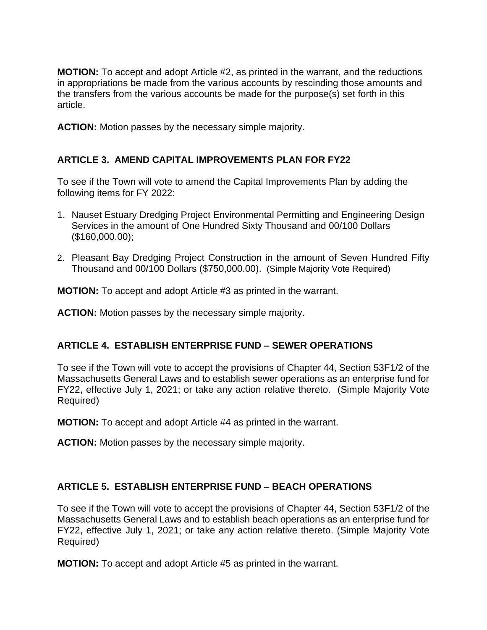**MOTION:** To accept and adopt Article #2, as printed in the warrant, and the reductions in appropriations be made from the various accounts by rescinding those amounts and the transfers from the various accounts be made for the purpose(s) set forth in this article.

**ACTION:** Motion passes by the necessary simple majority.

## **ARTICLE 3. AMEND CAPITAL IMPROVEMENTS PLAN FOR FY22**

To see if the Town will vote to amend the Capital Improvements Plan by adding the following items for FY 2022:

- 1. Nauset Estuary Dredging Project Environmental Permitting and Engineering Design Services in the amount of One Hundred Sixty Thousand and 00/100 Dollars (\$160,000.00);
- 2. Pleasant Bay Dredging Project Construction in the amount of Seven Hundred Fifty Thousand and 00/100 Dollars (\$750,000.00). (Simple Majority Vote Required)

**MOTION:** To accept and adopt Article #3 as printed in the warrant.

**ACTION:** Motion passes by the necessary simple majority.

### **ARTICLE 4. ESTABLISH ENTERPRISE FUND – SEWER OPERATIONS**

To see if the Town will vote to accept the provisions of Chapter 44, Section 53F1/2 of the Massachusetts General Laws and to establish sewer operations as an enterprise fund for FY22, effective July 1, 2021; or take any action relative thereto. (Simple Majority Vote Required)

**MOTION:** To accept and adopt Article #4 as printed in the warrant.

**ACTION:** Motion passes by the necessary simple majority.

### **ARTICLE 5. ESTABLISH ENTERPRISE FUND – BEACH OPERATIONS**

To see if the Town will vote to accept the provisions of Chapter 44, Section 53F1/2 of the Massachusetts General Laws and to establish beach operations as an enterprise fund for FY22, effective July 1, 2021; or take any action relative thereto. (Simple Majority Vote Required)

**MOTION:** To accept and adopt Article #5 as printed in the warrant.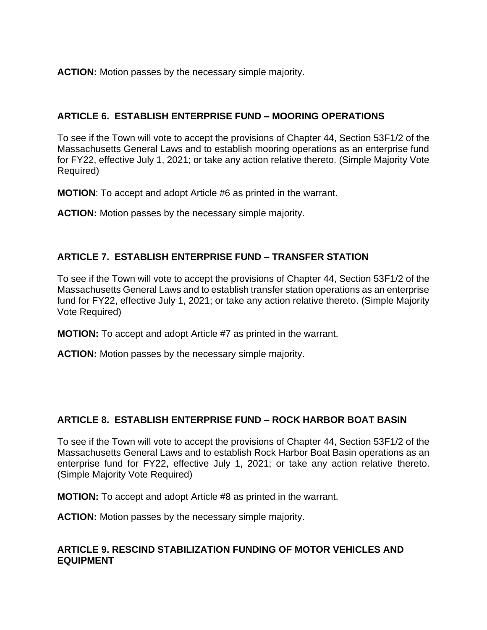**ACTION:** Motion passes by the necessary simple majority.

# **ARTICLE 6. ESTABLISH ENTERPRISE FUND – MOORING OPERATIONS**

To see if the Town will vote to accept the provisions of Chapter 44, Section 53F1/2 of the Massachusetts General Laws and to establish mooring operations as an enterprise fund for FY22, effective July 1, 2021; or take any action relative thereto. (Simple Majority Vote Required)

**MOTION**: To accept and adopt Article #6 as printed in the warrant.

**ACTION:** Motion passes by the necessary simple majority.

# **ARTICLE 7. ESTABLISH ENTERPRISE FUND – TRANSFER STATION**

To see if the Town will vote to accept the provisions of Chapter 44, Section 53F1/2 of the Massachusetts General Laws and to establish transfer station operations as an enterprise fund for FY22, effective July 1, 2021; or take any action relative thereto. (Simple Majority Vote Required)

**MOTION:** To accept and adopt Article #7 as printed in the warrant.

**ACTION:** Motion passes by the necessary simple majority.

# **ARTICLE 8. ESTABLISH ENTERPRISE FUND – ROCK HARBOR BOAT BASIN**

To see if the Town will vote to accept the provisions of Chapter 44, Section 53F1/2 of the Massachusetts General Laws and to establish Rock Harbor Boat Basin operations as an enterprise fund for FY22, effective July 1, 2021; or take any action relative thereto. (Simple Majority Vote Required)

**MOTION:** To accept and adopt Article #8 as printed in the warrant.

**ACTION:** Motion passes by the necessary simple majority.

### **ARTICLE 9. RESCIND STABILIZATION FUNDING OF MOTOR VEHICLES AND EQUIPMENT**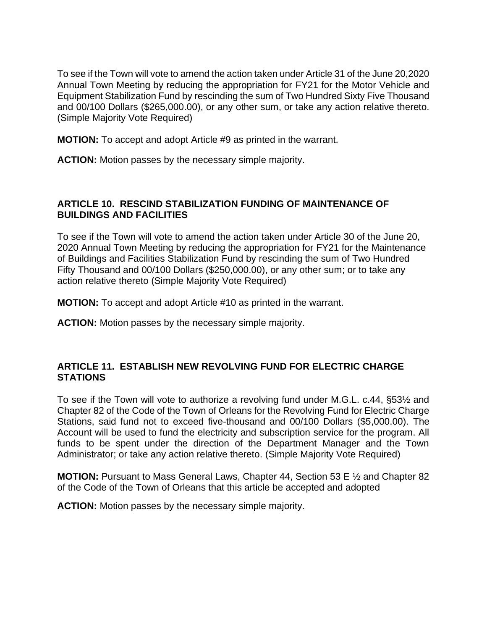To see if the Town will vote to amend the action taken under Article 31 of the June 20,2020 Annual Town Meeting by reducing the appropriation for FY21 for the Motor Vehicle and Equipment Stabilization Fund by rescinding the sum of Two Hundred Sixty Five Thousand and 00/100 Dollars (\$265,000.00), or any other sum, or take any action relative thereto. (Simple Majority Vote Required)

**MOTION:** To accept and adopt Article #9 as printed in the warrant.

**ACTION:** Motion passes by the necessary simple majority.

## **ARTICLE 10. RESCIND STABILIZATION FUNDING OF MAINTENANCE OF BUILDINGS AND FACILITIES**

To see if the Town will vote to amend the action taken under Article 30 of the June 20, 2020 Annual Town Meeting by reducing the appropriation for FY21 for the Maintenance of Buildings and Facilities Stabilization Fund by rescinding the sum of Two Hundred Fifty Thousand and 00/100 Dollars (\$250,000.00), or any other sum; or to take any action relative thereto (Simple Majority Vote Required)

**MOTION:** To accept and adopt Article #10 as printed in the warrant.

**ACTION:** Motion passes by the necessary simple majority.

# **ARTICLE 11. ESTABLISH NEW REVOLVING FUND FOR ELECTRIC CHARGE STATIONS**

To see if the Town will vote to authorize a revolving fund under M.G.L. c.44, §53½ and Chapter 82 of the Code of the Town of Orleans for the Revolving Fund for Electric Charge Stations, said fund not to exceed five-thousand and 00/100 Dollars (\$5,000.00). The Account will be used to fund the electricity and subscription service for the program. All funds to be spent under the direction of the Department Manager and the Town Administrator; or take any action relative thereto. (Simple Majority Vote Required)

**MOTION:** Pursuant to Mass General Laws, Chapter 44, Section 53 E ½ and Chapter 82 of the Code of the Town of Orleans that this article be accepted and adopted

**ACTION:** Motion passes by the necessary simple majority.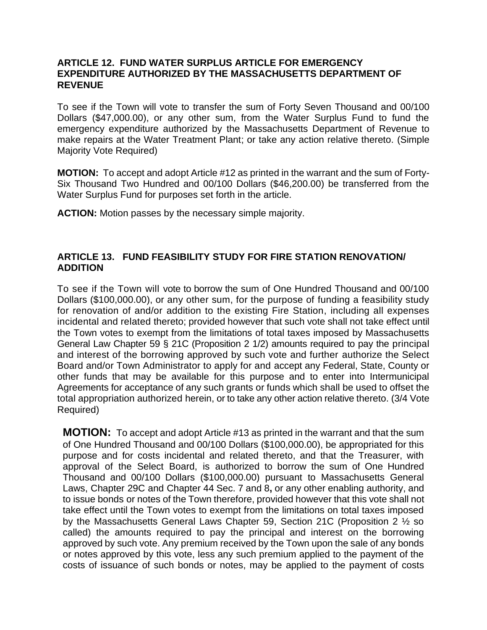### **ARTICLE 12. FUND WATER SURPLUS ARTICLE FOR EMERGENCY EXPENDITURE AUTHORIZED BY THE MASSACHUSETTS DEPARTMENT OF REVENUE**

To see if the Town will vote to transfer the sum of Forty Seven Thousand and 00/100 Dollars (\$47,000.00), or any other sum, from the Water Surplus Fund to fund the emergency expenditure authorized by the Massachusetts Department of Revenue to make repairs at the Water Treatment Plant; or take any action relative thereto. (Simple Majority Vote Required)

**MOTION:** To accept and adopt Article #12 as printed in the warrant and the sum of Forty-Six Thousand Two Hundred and 00/100 Dollars (\$46,200.00) be transferred from the Water Surplus Fund for purposes set forth in the article.

**ACTION:** Motion passes by the necessary simple majority.

### **ARTICLE 13. FUND FEASIBILITY STUDY FOR FIRE STATION RENOVATION/ ADDITION**

To see if the Town will vote to borrow the sum of One Hundred Thousand and 00/100 Dollars (\$100,000.00), or any other sum, for the purpose of funding a feasibility study for renovation of and/or addition to the existing Fire Station, including all expenses incidental and related thereto; provided however that such vote shall not take effect until the Town votes to exempt from the limitations of total taxes imposed by Massachusetts General Law Chapter 59 § 21C (Proposition 2 1/2) amounts required to pay the principal and interest of the borrowing approved by such vote and further authorize the Select Board and/or Town Administrator to apply for and accept any Federal, State, County or other funds that may be available for this purpose and to enter into Intermunicipal Agreements for acceptance of any such grants or funds which shall be used to offset the total appropriation authorized herein, or to take any other action relative thereto. (3/4 Vote Required)

**MOTION:** To accept and adopt Article #13 as printed in the warrant and that the sum of One Hundred Thousand and 00/100 Dollars (\$100,000.00), be appropriated for this purpose and for costs incidental and related thereto, and that the Treasurer, with approval of the Select Board, is authorized to borrow the sum of One Hundred Thousand and 00/100 Dollars (\$100,000.00) pursuant to Massachusetts General Laws, Chapter 29C and Chapter 44 Sec. 7 and 8**,** or any other enabling authority, and to issue bonds or notes of the Town therefore, provided however that this vote shall not take effect until the Town votes to exempt from the limitations on total taxes imposed by the Massachusetts General Laws Chapter 59, Section 21C (Proposition 2 ½ so called) the amounts required to pay the principal and interest on the borrowing approved by such vote. Any premium received by the Town upon the sale of any bonds or notes approved by this vote, less any such premium applied to the payment of the costs of issuance of such bonds or notes, may be applied to the payment of costs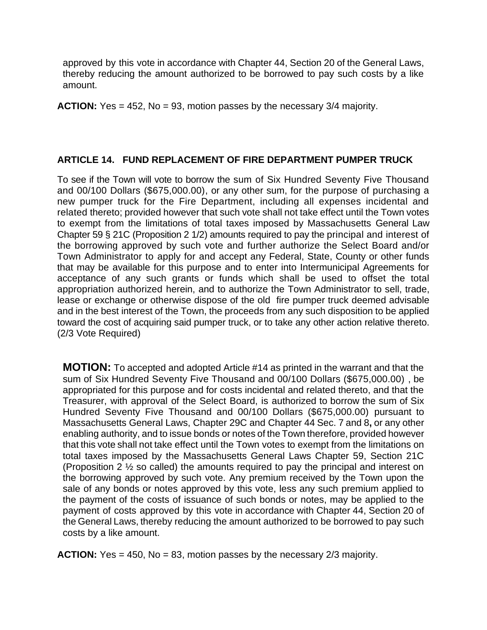approved by this vote in accordance with Chapter 44, Section 20 of the General Laws, thereby reducing the amount authorized to be borrowed to pay such costs by a like amount.

**ACTION:** Yes = 452, No = 93, motion passes by the necessary 3/4 majority.

### **ARTICLE 14. FUND REPLACEMENT OF FIRE DEPARTMENT PUMPER TRUCK**

To see if the Town will vote to borrow the sum of Six Hundred Seventy Five Thousand and 00/100 Dollars (\$675,000.00), or any other sum, for the purpose of purchasing a new pumper truck for the Fire Department, including all expenses incidental and related thereto; provided however that such vote shall not take effect until the Town votes to exempt from the limitations of total taxes imposed by Massachusetts General Law Chapter 59 § 21C (Proposition 2 1/2) amounts required to pay the principal and interest of the borrowing approved by such vote and further authorize the Select Board and/or Town Administrator to apply for and accept any Federal, State, County or other funds that may be available for this purpose and to enter into Intermunicipal Agreements for acceptance of any such grants or funds which shall be used to offset the total appropriation authorized herein, and to authorize the Town Administrator to sell, trade, lease or exchange or otherwise dispose of the old fire pumper truck deemed advisable and in the best interest of the Town, the proceeds from any such disposition to be applied toward the cost of acquiring said pumper truck, or to take any other action relative thereto. (2/3 Vote Required)

**MOTION:** To accepted and adopted Article #14 as printed in the warrant and that the sum of Six Hundred Seventy Five Thousand and 00/100 Dollars (\$675,000.00) , be appropriated for this purpose and for costs incidental and related thereto, and that the Treasurer, with approval of the Select Board, is authorized to borrow the sum of Six Hundred Seventy Five Thousand and 00/100 Dollars (\$675,000.00) pursuant to Massachusetts General Laws, Chapter 29C and Chapter 44 Sec. 7 and 8**,** or any other enabling authority, and to issue bonds or notes of the Town therefore, provided however that this vote shall not take effect until the Town votes to exempt from the limitations on total taxes imposed by the Massachusetts General Laws Chapter 59, Section 21C (Proposition 2 ½ so called) the amounts required to pay the principal and interest on the borrowing approved by such vote. Any premium received by the Town upon the sale of any bonds or notes approved by this vote, less any such premium applied to the payment of the costs of issuance of such bonds or notes, may be applied to the payment of costs approved by this vote in accordance with Chapter 44, Section 20 of the General Laws, thereby reducing the amount authorized to be borrowed to pay such costs by a like amount.

**ACTION:** Yes = 450, No = 83, motion passes by the necessary 2/3 majority.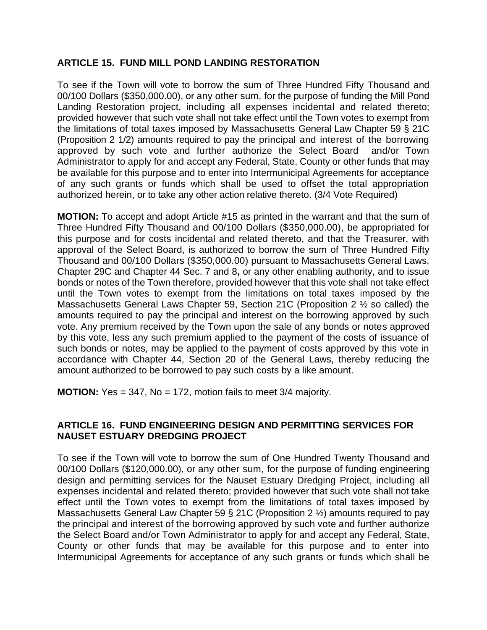## **ARTICLE 15. FUND MILL POND LANDING RESTORATION**

To see if the Town will vote to borrow the sum of Three Hundred Fifty Thousand and 00/100 Dollars (\$350,000.00), or any other sum, for the purpose of funding the Mill Pond Landing Restoration project, including all expenses incidental and related thereto; provided however that such vote shall not take effect until the Town votes to exempt from the limitations of total taxes imposed by Massachusetts General Law Chapter 59 § 21C (Proposition 2 1/2) amounts required to pay the principal and interest of the borrowing approved by such vote and further authorize the Select Board and/or Town Administrator to apply for and accept any Federal, State, County or other funds that may be available for this purpose and to enter into Intermunicipal Agreements for acceptance of any such grants or funds which shall be used to offset the total appropriation authorized herein, or to take any other action relative thereto. (3/4 Vote Required)

**MOTION:** To accept and adopt Article #15 as printed in the warrant and that the sum of Three Hundred Fifty Thousand and 00/100 Dollars (\$350,000.00), be appropriated for this purpose and for costs incidental and related thereto, and that the Treasurer, with approval of the Select Board, is authorized to borrow the sum of Three Hundred Fifty Thousand and 00/100 Dollars (\$350,000.00) pursuant to Massachusetts General Laws, Chapter 29C and Chapter 44 Sec. 7 and 8**,** or any other enabling authority, and to issue bonds or notes of the Town therefore, provided however that this vote shall not take effect until the Town votes to exempt from the limitations on total taxes imposed by the Massachusetts General Laws Chapter 59, Section 21C (Proposition 2 ½ so called) the amounts required to pay the principal and interest on the borrowing approved by such vote. Any premium received by the Town upon the sale of any bonds or notes approved by this vote, less any such premium applied to the payment of the costs of issuance of such bonds or notes, may be applied to the payment of costs approved by this vote in accordance with Chapter 44, Section 20 of the General Laws, thereby reducing the amount authorized to be borrowed to pay such costs by a like amount.

**MOTION:** Yes = 347, No = 172, motion fails to meet 3/4 majority.

## **ARTICLE 16. FUND ENGINEERING DESIGN AND PERMITTING SERVICES FOR NAUSET ESTUARY DREDGING PROJECT**

To see if the Town will vote to borrow the sum of One Hundred Twenty Thousand and 00/100 Dollars (\$120,000.00), or any other sum, for the purpose of funding engineering design and permitting services for the Nauset Estuary Dredging Project, including all expenses incidental and related thereto; provided however that such vote shall not take effect until the Town votes to exempt from the limitations of total taxes imposed by Massachusetts General Law Chapter 59 § 21C (Proposition 2 ½) amounts required to pay the principal and interest of the borrowing approved by such vote and further authorize the Select Board and/or Town Administrator to apply for and accept any Federal, State, County or other funds that may be available for this purpose and to enter into Intermunicipal Agreements for acceptance of any such grants or funds which shall be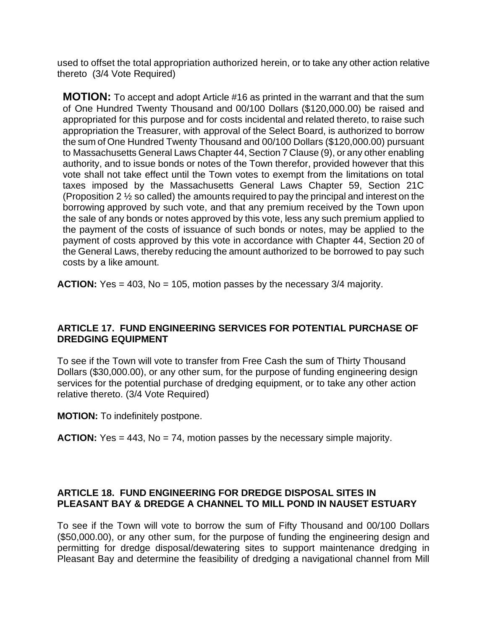used to offset the total appropriation authorized herein, or to take any other action relative thereto (3/4 Vote Required)

**MOTION:** To accept and adopt Article #16 as printed in the warrant and that the sum of One Hundred Twenty Thousand and 00/100 Dollars (\$120,000.00) be raised and appropriated for this purpose and for costs incidental and related thereto, to raise such appropriation the Treasurer, with approval of the Select Board, is authorized to borrow the sum of One Hundred Twenty Thousand and 00/100 Dollars (\$120,000.00) pursuant to Massachusetts General Laws Chapter 44, Section 7 Clause (9), or any other enabling authority, and to issue bonds or notes of the Town therefor, provided however that this vote shall not take effect until the Town votes to exempt from the limitations on total taxes imposed by the Massachusetts General Laws Chapter 59, Section 21C (Proposition 2 ½ so called) the amounts required to pay the principal and interest on the borrowing approved by such vote, and that any premium received by the Town upon the sale of any bonds or notes approved by this vote, less any such premium applied to the payment of the costs of issuance of such bonds or notes, may be applied to the payment of costs approved by this vote in accordance with Chapter 44, Section 20 of the General Laws, thereby reducing the amount authorized to be borrowed to pay such costs by a like amount.

**ACTION:** Yes = 403, No = 105, motion passes by the necessary 3/4 majority.

### **ARTICLE 17. FUND ENGINEERING SERVICES FOR POTENTIAL PURCHASE OF DREDGING EQUIPMENT**

To see if the Town will vote to transfer from Free Cash the sum of Thirty Thousand Dollars (\$30,000.00), or any other sum, for the purpose of funding engineering design services for the potential purchase of dredging equipment, or to take any other action relative thereto. (3/4 Vote Required)

**MOTION:** To indefinitely postpone.

**ACTION:** Yes = 443, No = 74, motion passes by the necessary simple majority.

### **ARTICLE 18. FUND ENGINEERING FOR DREDGE DISPOSAL SITES IN PLEASANT BAY & DREDGE A CHANNEL TO MILL POND IN NAUSET ESTUARY**

To see if the Town will vote to borrow the sum of Fifty Thousand and 00/100 Dollars (\$50,000.00), or any other sum, for the purpose of funding the engineering design and permitting for dredge disposal/dewatering sites to support maintenance dredging in Pleasant Bay and determine the feasibility of dredging a navigational channel from Mill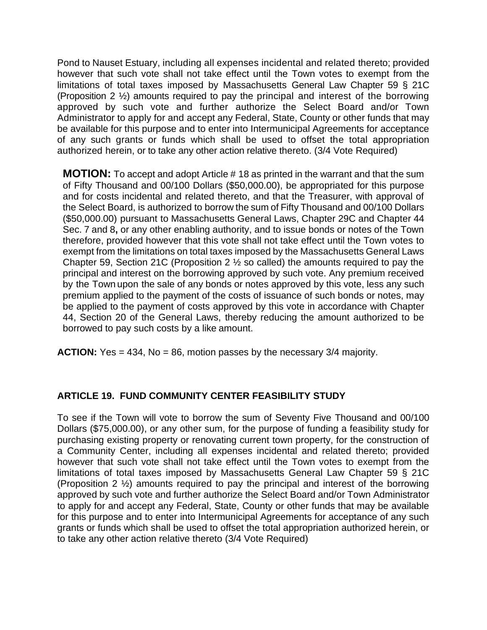Pond to Nauset Estuary, including all expenses incidental and related thereto; provided however that such vote shall not take effect until the Town votes to exempt from the limitations of total taxes imposed by Massachusetts General Law Chapter 59 § 21C (Proposition 2 ½) amounts required to pay the principal and interest of the borrowing approved by such vote and further authorize the Select Board and/or Town Administrator to apply for and accept any Federal, State, County or other funds that may be available for this purpose and to enter into Intermunicipal Agreements for acceptance of any such grants or funds which shall be used to offset the total appropriation authorized herein, or to take any other action relative thereto. (3/4 Vote Required)

**MOTION:** To accept and adopt Article # 18 as printed in the warrant and that the sum of Fifty Thousand and 00/100 Dollars (\$50,000.00), be appropriated for this purpose and for costs incidental and related thereto, and that the Treasurer, with approval of the Select Board, is authorized to borrow the sum of Fifty Thousand and 00/100 Dollars (\$50,000.00) pursuant to Massachusetts General Laws, Chapter 29C and Chapter 44 Sec. 7 and 8**,** or any other enabling authority, and to issue bonds or notes of the Town therefore, provided however that this vote shall not take effect until the Town votes to exempt from the limitations on total taxes imposed by the Massachusetts General Laws Chapter 59, Section 21C (Proposition 2 ½ so called) the amounts required to pay the principal and interest on the borrowing approved by such vote. Any premium received by the Town upon the sale of any bonds or notes approved by this vote, less any such premium applied to the payment of the costs of issuance of such bonds or notes, may be applied to the payment of costs approved by this vote in accordance with Chapter 44, Section 20 of the General Laws, thereby reducing the amount authorized to be borrowed to pay such costs by a like amount.

**ACTION:** Yes = 434, No = 86, motion passes by the necessary 3/4 majority.

# **ARTICLE 19. FUND COMMUNITY CENTER FEASIBILITY STUDY**

To see if the Town will vote to borrow the sum of Seventy Five Thousand and 00/100 Dollars (\$75,000.00), or any other sum, for the purpose of funding a feasibility study for purchasing existing property or renovating current town property, for the construction of a Community Center, including all expenses incidental and related thereto; provided however that such vote shall not take effect until the Town votes to exempt from the limitations of total taxes imposed by Massachusetts General Law Chapter 59 § 21C (Proposition 2 ½) amounts required to pay the principal and interest of the borrowing approved by such vote and further authorize the Select Board and/or Town Administrator to apply for and accept any Federal, State, County or other funds that may be available for this purpose and to enter into Intermunicipal Agreements for acceptance of any such grants or funds which shall be used to offset the total appropriation authorized herein, or to take any other action relative thereto (3/4 Vote Required)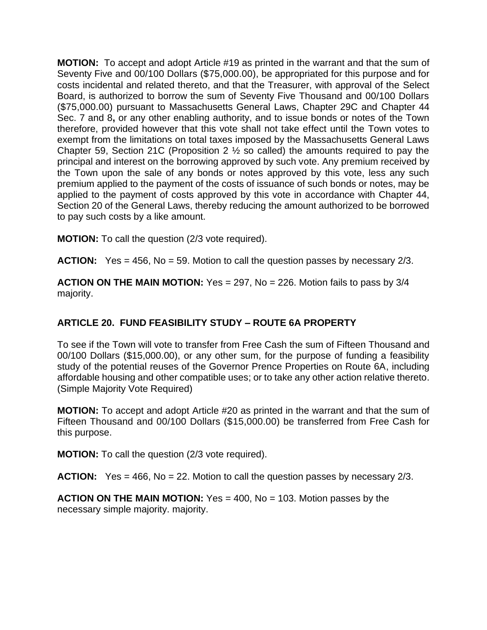**MOTION:** To accept and adopt Article #19 as printed in the warrant and that the sum of Seventy Five and 00/100 Dollars (\$75,000.00), be appropriated for this purpose and for costs incidental and related thereto, and that the Treasurer, with approval of the Select Board, is authorized to borrow the sum of Seventy Five Thousand and 00/100 Dollars (\$75,000.00) pursuant to Massachusetts General Laws, Chapter 29C and Chapter 44 Sec. 7 and 8**,** or any other enabling authority, and to issue bonds or notes of the Town therefore, provided however that this vote shall not take effect until the Town votes to exempt from the limitations on total taxes imposed by the Massachusetts General Laws Chapter 59, Section 21C (Proposition 2 ½ so called) the amounts required to pay the principal and interest on the borrowing approved by such vote. Any premium received by the Town upon the sale of any bonds or notes approved by this vote, less any such premium applied to the payment of the costs of issuance of such bonds or notes, may be applied to the payment of costs approved by this vote in accordance with Chapter 44, Section 20 of the General Laws, thereby reducing the amount authorized to be borrowed to pay such costs by a like amount.

**MOTION:** To call the question (2/3 vote required).

**ACTION:** Yes = 456, No = 59. Motion to call the question passes by necessary 2/3.

**ACTION ON THE MAIN MOTION:** Yes = 297, No = 226. Motion fails to pass by 3/4 majority.

# **ARTICLE 20. FUND FEASIBILITY STUDY – ROUTE 6A PROPERTY**

To see if the Town will vote to transfer from Free Cash the sum of Fifteen Thousand and 00/100 Dollars (\$15,000.00), or any other sum, for the purpose of funding a feasibility study of the potential reuses of the Governor Prence Properties on Route 6A, including affordable housing and other compatible uses; or to take any other action relative thereto. (Simple Majority Vote Required)

**MOTION:** To accept and adopt Article #20 as printed in the warrant and that the sum of Fifteen Thousand and 00/100 Dollars (\$15,000.00) be transferred from Free Cash for this purpose.

**MOTION:** To call the question (2/3 vote required).

**ACTION:** Yes = 466, No = 22. Motion to call the question passes by necessary 2/3.

**ACTION ON THE MAIN MOTION:** Yes = 400, No = 103. Motion passes by the necessary simple majority. majority.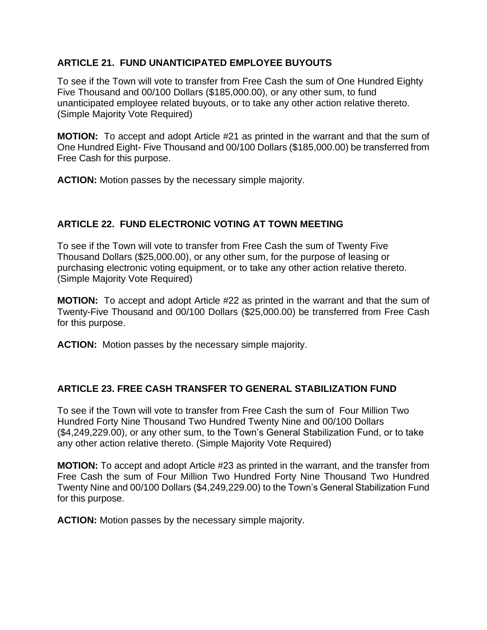# **ARTICLE 21. FUND UNANTICIPATED EMPLOYEE BUYOUTS**

To see if the Town will vote to transfer from Free Cash the sum of One Hundred Eighty Five Thousand and 00/100 Dollars (\$185,000.00), or any other sum, to fund unanticipated employee related buyouts, or to take any other action relative thereto. (Simple Majority Vote Required)

**MOTION:** To accept and adopt Article #21 as printed in the warrant and that the sum of One Hundred Eight- Five Thousand and 00/100 Dollars (\$185,000.00) be transferred from Free Cash for this purpose.

**ACTION:** Motion passes by the necessary simple majority.

# **ARTICLE 22. FUND ELECTRONIC VOTING AT TOWN MEETING**

To see if the Town will vote to transfer from Free Cash the sum of Twenty Five Thousand Dollars (\$25,000.00), or any other sum, for the purpose of leasing or purchasing electronic voting equipment, or to take any other action relative thereto. (Simple Majority Vote Required)

**MOTION:** To accept and adopt Article #22 as printed in the warrant and that the sum of Twenty-Five Thousand and 00/100 Dollars (\$25,000.00) be transferred from Free Cash for this purpose.

**ACTION:** Motion passes by the necessary simple majority.

# **ARTICLE 23. FREE CASH TRANSFER TO GENERAL STABILIZATION FUND**

To see if the Town will vote to transfer from Free Cash the sum of Four Million Two Hundred Forty Nine Thousand Two Hundred Twenty Nine and 00/100 Dollars (\$4,249,229.00), or any other sum, to the Town's General Stabilization Fund, or to take any other action relative thereto. (Simple Majority Vote Required)

**MOTION:** To accept and adopt Article #23 as printed in the warrant, and the transfer from Free Cash the sum of Four Million Two Hundred Forty Nine Thousand Two Hundred Twenty Nine and 00/100 Dollars (\$4,249,229.00) to the Town's General Stabilization Fund for this purpose.

**ACTION:** Motion passes by the necessary simple majority.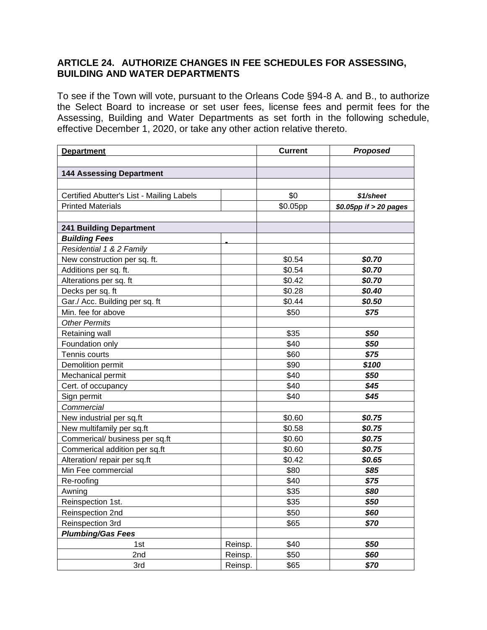## **ARTICLE 24. AUTHORIZE CHANGES IN FEE SCHEDULES FOR ASSESSING, BUILDING AND WATER DEPARTMENTS**

To see if the Town will vote, pursuant to the Orleans Code §94-8 A. and B., to authorize the Select Board to increase or set user fees, license fees and permit fees for the Assessing, Building and Water Departments as set forth in the following schedule, effective December 1, 2020, or take any other action relative thereto.

| <b>Department</b>                         |         | <b>Current</b> | <b>Proposed</b>        |  |  |
|-------------------------------------------|---------|----------------|------------------------|--|--|
|                                           |         |                |                        |  |  |
| <b>144 Assessing Department</b>           |         |                |                        |  |  |
|                                           |         |                |                        |  |  |
| Certified Abutter's List - Mailing Labels |         | \$0            | \$1/sheet              |  |  |
| <b>Printed Materials</b>                  |         | \$0.05pp       | \$0.05pp if > 20 pages |  |  |
|                                           |         |                |                        |  |  |
| <b>241 Building Department</b>            |         |                |                        |  |  |
| <b>Building Fees</b>                      |         |                |                        |  |  |
| Residential 1 & 2 Family                  |         |                |                        |  |  |
| New construction per sq. ft.              |         | \$0.54         | \$0.70                 |  |  |
| Additions per sq. ft.                     |         | \$0.54         | \$0.70                 |  |  |
| Alterations per sq. ft                    |         | \$0.42         | \$0.70                 |  |  |
| Decks per sq. ft                          |         | \$0.28         | \$0.40                 |  |  |
| Gar./ Acc. Building per sq. ft            |         | \$0.44         | \$0.50                 |  |  |
| Min. fee for above                        |         | \$50           | \$75                   |  |  |
| <b>Other Permits</b>                      |         |                |                        |  |  |
| Retaining wall                            |         | \$35           | \$50                   |  |  |
| Foundation only                           |         | \$40           | \$50                   |  |  |
| Tennis courts                             |         | \$60           | \$75                   |  |  |
| Demolition permit                         |         | \$90           | \$100                  |  |  |
| Mechanical permit                         |         | \$40           | \$50                   |  |  |
| Cert. of occupancy                        |         | \$40           | \$45                   |  |  |
| Sign permit                               |         | \$40           | \$45                   |  |  |
| Commercial                                |         |                |                        |  |  |
| New industrial per sq.ft                  |         | \$0.60         | \$0.75                 |  |  |
| New multifamily per sq.ft                 |         | \$0.58         | \$0.75                 |  |  |
| Commerical/ business per sq.ft            |         | \$0.60         | \$0.75                 |  |  |
| Commerical addition per sq.ft             |         | \$0.60         | \$0.75                 |  |  |
| Alteration/ repair per sq.ft              |         | \$0.42         | \$0.65                 |  |  |
| Min Fee commercial                        |         | \$80           | \$85                   |  |  |
| Re-roofing                                |         | \$40           | \$75                   |  |  |
| Awning                                    |         | \$35           | \$80                   |  |  |
| Reinspection 1st.                         |         | \$35           | \$50                   |  |  |
| Reinspection 2nd                          |         | \$50           | \$60                   |  |  |
| Reinspection 3rd                          |         | \$65           | \$70                   |  |  |
| <b>Plumbing/Gas Fees</b>                  |         |                |                        |  |  |
| 1st                                       | Reinsp. | \$40           | \$50                   |  |  |
| 2nd                                       | Reinsp. | \$50           | \$60                   |  |  |
| 3rd                                       | Reinsp. | \$65           | \$70                   |  |  |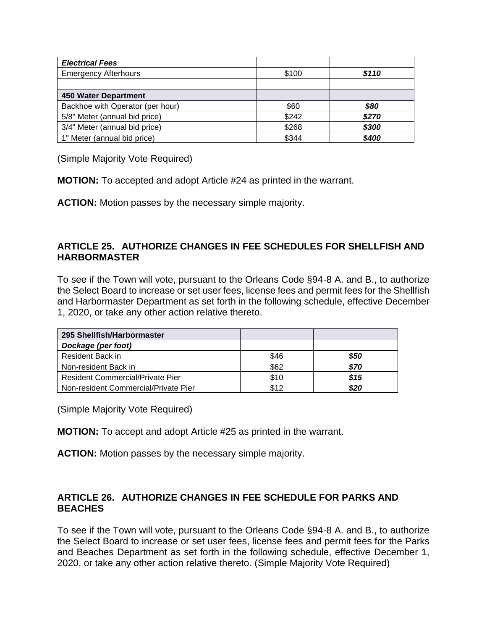| <b>Electrical Fees</b>           |       |       |
|----------------------------------|-------|-------|
| <b>Emergency Afterhours</b>      | \$100 | \$110 |
|                                  |       |       |
| 450 Water Department             |       |       |
| Backhoe with Operator (per hour) | \$60  | \$80  |
| 5/8" Meter (annual bid price)    | \$242 | \$270 |
| 3/4" Meter (annual bid price)    | \$268 | \$300 |
| 1" Meter (annual bid price)      | \$344 | \$400 |

(Simple Majority Vote Required)

**MOTION:** To accepted and adopt Article #24 as printed in the warrant.

**ACTION:** Motion passes by the necessary simple majority.

## **ARTICLE 25. AUTHORIZE CHANGES IN FEE SCHEDULES FOR SHELLFISH AND HARBORMASTER**

To see if the Town will vote, pursuant to the Orleans Code §94-8 A. and B., to authorize the Select Board to increase or set user fees, license fees and permit fees for the Shellfish and Harbormaster Department as set forth in the following schedule, effective December 1, 2020, or take any other action relative thereto.

| 295 Shellfish/Harbormaster              |      |      |
|-----------------------------------------|------|------|
| Dockage (per foot)                      |      |      |
| Resident Back in                        | \$46 | \$50 |
| Non-resident Back in                    | \$62 | \$70 |
| <b>Resident Commercial/Private Pier</b> | \$10 | \$15 |
| Non-resident Commercial/Private Pier    | \$12 | \$20 |

(Simple Majority Vote Required)

**MOTION:** To accept and adopt Article #25 as printed in the warrant.

**ACTION:** Motion passes by the necessary simple majority.

## **ARTICLE 26. AUTHORIZE CHANGES IN FEE SCHEDULE FOR PARKS AND BEACHES**

To see if the Town will vote, pursuant to the Orleans Code §94-8 A. and B., to authorize the Select Board to increase or set user fees, license fees and permit fees for the Parks and Beaches Department as set forth in the following schedule, effective December 1, 2020, or take any other action relative thereto. (Simple Majority Vote Required)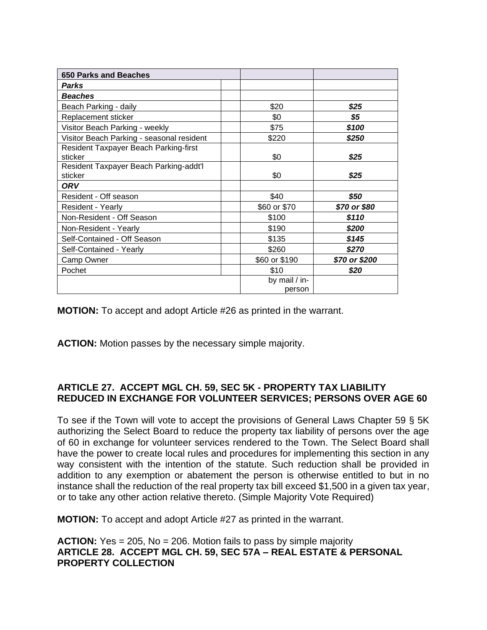| 650 Parks and Beaches                             |                         |               |
|---------------------------------------------------|-------------------------|---------------|
| Parks                                             |                         |               |
| <b>Beaches</b>                                    |                         |               |
| Beach Parking - daily                             | \$20                    | \$25          |
| Replacement sticker                               | \$0                     | \$5           |
| Visitor Beach Parking - weekly                    | \$75                    | \$100         |
| Visitor Beach Parking - seasonal resident         | \$220                   | \$250         |
| Resident Taxpayer Beach Parking-first<br>sticker  | \$0                     | \$25          |
| Resident Taxpayer Beach Parking-addt'l<br>sticker | \$0                     | \$25          |
| ORV                                               |                         |               |
| Resident - Off season                             | \$40                    | \$50          |
| Resident - Yearly                                 | \$60 or \$70            | \$70 or \$80  |
| Non-Resident - Off Season                         | \$100                   | \$110         |
| Non-Resident - Yearly                             | \$190                   | \$200         |
| Self-Contained - Off Season                       | \$135                   | \$145         |
| Self-Contained - Yearly                           | \$260                   | \$270         |
| Camp Owner                                        | \$60 or \$190           | \$70 or \$200 |
| Pochet                                            | \$10                    | \$20          |
|                                                   | by mail / in-<br>person |               |

**MOTION:** To accept and adopt Article #26 as printed in the warrant.

**ACTION:** Motion passes by the necessary simple majority.

## **ARTICLE 27. ACCEPT MGL CH. 59, SEC 5K - PROPERTY TAX LIABILITY REDUCED IN EXCHANGE FOR VOLUNTEER SERVICES; PERSONS OVER AGE 60**

To see if the Town will vote to accept the provisions of General Laws Chapter 59 § 5K authorizing the Select Board to reduce the property tax liability of persons over the age of 60 in exchange for volunteer services rendered to the Town. The Select Board shall have the power to create local rules and procedures for implementing this section in any way consistent with the intention of the statute. Such reduction shall be provided in addition to any exemption or abatement the person is otherwise entitled to but in no instance shall the reduction of the real property tax bill exceed \$1,500 in a given tax year, or to take any other action relative thereto. (Simple Majority Vote Required)

**MOTION:** To accept and adopt Article #27 as printed in the warrant.

**ACTION:** Yes = 205, No = 206. Motion fails to pass by simple majority **ARTICLE 28. ACCEPT MGL CH. 59, SEC 57A – REAL ESTATE & PERSONAL PROPERTY COLLECTION**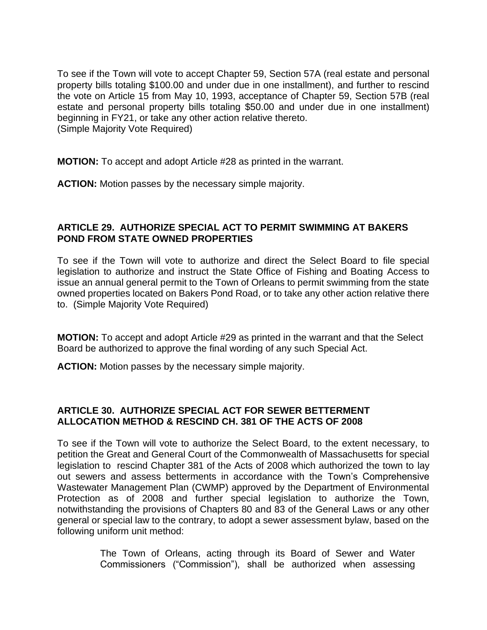To see if the Town will vote to accept Chapter 59, Section 57A (real estate and personal property bills totaling \$100.00 and under due in one installment), and further to rescind the vote on Article 15 from May 10, 1993, acceptance of Chapter 59, Section 57B (real estate and personal property bills totaling \$50.00 and under due in one installment) beginning in FY21, or take any other action relative thereto. (Simple Majority Vote Required)

**MOTION:** To accept and adopt Article #28 as printed in the warrant.

**ACTION:** Motion passes by the necessary simple majority.

## **ARTICLE 29. AUTHORIZE SPECIAL ACT TO PERMIT SWIMMING AT BAKERS POND FROM STATE OWNED PROPERTIES**

To see if the Town will vote to authorize and direct the Select Board to file special legislation to authorize and instruct the State Office of Fishing and Boating Access to issue an annual general permit to the Town of Orleans to permit swimming from the state owned properties located on Bakers Pond Road, or to take any other action relative there to. (Simple Majority Vote Required)

**MOTION:** To accept and adopt Article #29 as printed in the warrant and that the Select Board be authorized to approve the final wording of any such Special Act.

**ACTION:** Motion passes by the necessary simple majority.

## **ARTICLE 30. AUTHORIZE SPECIAL ACT FOR SEWER BETTERMENT ALLOCATION METHOD & RESCIND CH. 381 OF THE ACTS OF 2008**

To see if the Town will vote to authorize the Select Board, to the extent necessary, to petition the Great and General Court of the Commonwealth of Massachusetts for special legislation to rescind Chapter 381 of the Acts of 2008 which authorized the town to lay out sewers and assess betterments in accordance with the Town's Comprehensive Wastewater Management Plan (CWMP) approved by the Department of Environmental Protection as of 2008 and further special legislation to authorize the Town, notwithstanding the provisions of Chapters 80 and 83 of the General Laws or any other general or special law to the contrary, to adopt a sewer assessment bylaw, based on the following uniform unit method:

> The Town of Orleans, acting through its Board of Sewer and Water Commissioners ("Commission"), shall be authorized when assessing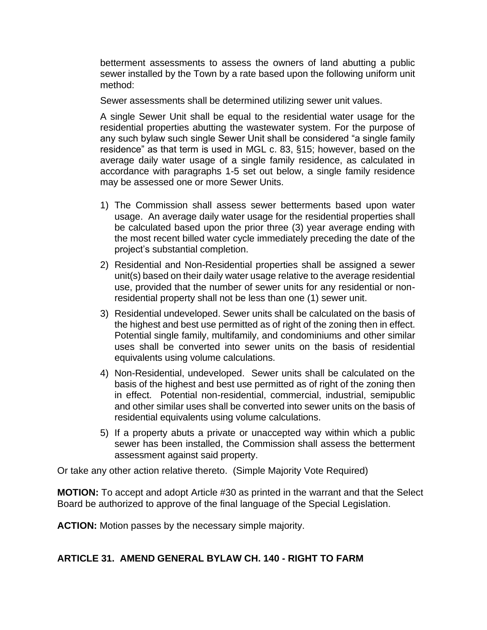betterment assessments to assess the owners of land abutting a public sewer installed by the Town by a rate based upon the following uniform unit method:

Sewer assessments shall be determined utilizing sewer unit values.

A single Sewer Unit shall be equal to the residential water usage for the residential properties abutting the wastewater system. For the purpose of any such bylaw such single Sewer Unit shall be considered "a single family residence" as that term is used in MGL c. 83, §15; however, based on the average daily water usage of a single family residence, as calculated in accordance with paragraphs 1-5 set out below, a single family residence may be assessed one or more Sewer Units.

- 1) The Commission shall assess sewer betterments based upon water usage. An average daily water usage for the residential properties shall be calculated based upon the prior three (3) year average ending with the most recent billed water cycle immediately preceding the date of the project's substantial completion.
- 2) Residential and Non-Residential properties shall be assigned a sewer unit(s) based on their daily water usage relative to the average residential use, provided that the number of sewer units for any residential or nonresidential property shall not be less than one (1) sewer unit.
- 3) Residential undeveloped. Sewer units shall be calculated on the basis of the highest and best use permitted as of right of the zoning then in effect. Potential single family, multifamily, and condominiums and other similar uses shall be converted into sewer units on the basis of residential equivalents using volume calculations.
- 4) Non-Residential, undeveloped. Sewer units shall be calculated on the basis of the highest and best use permitted as of right of the zoning then in effect. Potential non-residential, commercial, industrial, semipublic and other similar uses shall be converted into sewer units on the basis of residential equivalents using volume calculations.
- 5) If a property abuts a private or unaccepted way within which a public sewer has been installed, the Commission shall assess the betterment assessment against said property.

Or take any other action relative thereto. (Simple Majority Vote Required)

**MOTION:** To accept and adopt Article #30 as printed in the warrant and that the Select Board be authorized to approve of the final language of the Special Legislation.

**ACTION:** Motion passes by the necessary simple majority.

### **ARTICLE 31. AMEND GENERAL BYLAW CH. 140 - RIGHT TO FARM**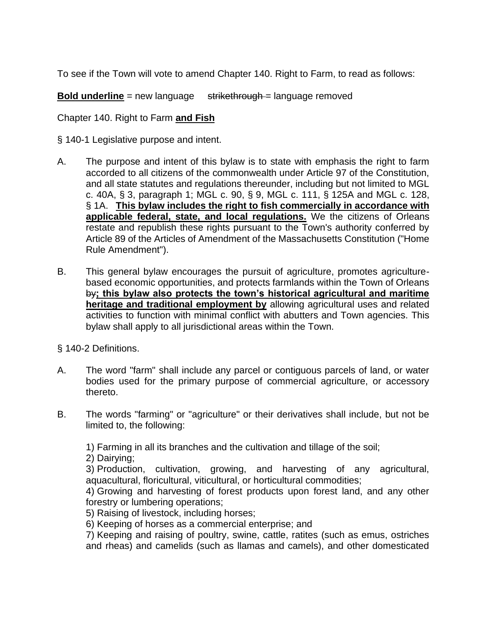To see if the Town will vote to amend Chapter 140. Right to Farm, to read as follows:

**Bold underline** = new language strikethrough = language removed

Chapter 140. Right to Farm **and Fish**

§ [140-1 Legislative purpose and intent.](https://ecode360.com/28463000#28494421) 

- [A.](https://ecode360.com/28494422#28494422) The purpose and intent of this bylaw is to state with emphasis the right to farm accorded to all citizens of the commonwealth under Article 97 of the Constitution, and all state statutes and regulations thereunder, including but not limited to MGL c. 40A, § 3, paragraph 1; MGL c. 90, § 9, MGL c. 111, § 125A and MGL c. 128, § 1A. **This bylaw includes the right to fish commercially in accordance with applicable federal, state, and local regulations.** We the citizens of Orleans restate and republish these rights pursuant to the Town's authority conferred by Article 89 of the Articles of Amendment of the Massachusetts Constitution ("Home Rule Amendment").
- [B.](https://ecode360.com/28494423#28494423) This general bylaw encourages the pursuit of agriculture, promotes agriculturebased economic opportunities, and protects farmlands within the Town of Orleans by**; this bylaw also protects the town's historical agricultural and maritime heritage and traditional employment by** allowing agricultural uses and related activities to function with minimal conflict with abutters and Town agencies. This bylaw shall apply to all jurisdictional areas within the Town.

§ [140-2 Definitions.](https://ecode360.com/28463000#28494424)

- [A.](https://ecode360.com/28494425#28494425) The word "farm" shall include any parcel or contiguous parcels of land, or water bodies used for the primary purpose of commercial agriculture, or accessory thereto.
- [B.](https://ecode360.com/28494426#28494426) The words "farming" or "agriculture" or their derivatives shall include, but not be limited to, the following:

[1\)](https://ecode360.com/28494427#28494427) Farming in all its branches and the cultivation and tillage of the soil;

[2\)](https://ecode360.com/28494428#28494428) Dairying;

[3\)](https://ecode360.com/28494429#28494429) Production, cultivation, growing, and harvesting of any agricultural, aquacultural, floricultural, viticultural, or horticultural commodities;

[4\)](https://ecode360.com/28494430#28494430) Growing and harvesting of forest products upon forest land, and any other forestry or lumbering operations;

[5\)](https://ecode360.com/28494431#28494431) Raising of livestock, including horses;

[6\)](https://ecode360.com/28494432#28494432) Keeping of horses as a commercial enterprise; and

[7\)](https://ecode360.com/28494433#28494433) Keeping and raising of poultry, swine, cattle, ratites (such as emus, ostriches and rheas) and camelids (such as llamas and camels), and other domesticated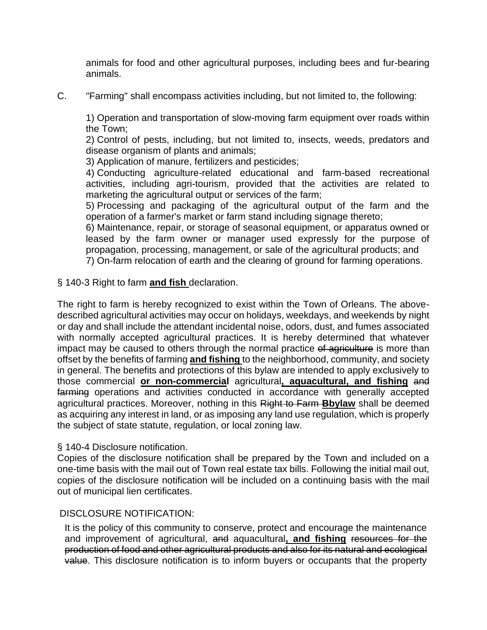animals for food and other agricultural purposes, including bees and fur-bearing animals.

[C.](https://ecode360.com/28494434#28494434) "Farming" shall encompass activities including, but not limited to, the following:

[1\)](https://ecode360.com/28494435#28494435) Operation and transportation of slow-moving farm equipment over roads within the Town;

[2\)](https://ecode360.com/28494436#28494436) Control of pests, including, but not limited to, insects, weeds, predators and disease organism of plants and animals;

[3\)](https://ecode360.com/28494437#28494437) Application of manure, fertilizers and pesticides;

[4\)](https://ecode360.com/28494438#28494438) Conducting agriculture-related educational and farm-based recreational activities, including agri-tourism, provided that the activities are related to marketing the agricultural output or services of the farm;

[5\)](https://ecode360.com/28494439#28494439) Processing and packaging of the agricultural output of the farm and the operation of a farmer's market or farm stand including signage thereto;

[6\)](https://ecode360.com/28494440#28494440) Maintenance, repair, or storage of seasonal equipment, or apparatus owned or leased by the farm owner or manager used expressly for the purpose of propagation, processing, management, or sale of the agricultural products; and [7\)](https://ecode360.com/28494441#28494441) On-farm relocation of earth and the clearing of ground for farming operations.

§ [140-3 Right to farm](https://ecode360.com/28463000#28494442) **and fish** declaration.

The right to farm is hereby recognized to exist within the Town of Orleans. The abovedescribed agricultural activities may occur on holidays, weekdays, and weekends by night or day and shall include the attendant incidental noise, odors, dust, and fumes associated with normally accepted agricultural practices. It is hereby determined that whatever impact may be caused to others through the normal practice of agriculture is more than offset by the benefits of farming **and fishing** to the neighborhood, community, and society in general. The benefits and protections of this bylaw are intended to apply exclusively to those commercial **or non-commercial** agricultural**, aquacultural, and fishing** and farming operations and activities conducted in accordance with generally accepted agricultural practices. Moreover, nothing in this Right to Farm **Bbylaw** shall be deemed as acquiring any interest in land, or as imposing any land use regulation, which is properly the subject of state statute, regulation, or local zoning law.

### § [140-4 Disclosure notification.](https://ecode360.com/28463000#28494443)

Copies of the disclosure notification shall be prepared by the Town and included on a one-time basis with the mail out of Town real estate tax bills. Following the initial mail out, copies of the disclosure notification will be included on a continuing basis with the mail out of municipal lien certificates.

### DISCLOSURE NOTIFICATION:

It is the policy of this community to conserve, protect and encourage the maintenance and improvement of agricultural, and aquacultural**, and fishing** resources for the production of food and other agricultural products and also for its natural and ecological value. This disclosure notification is to inform buyers or occupants that the property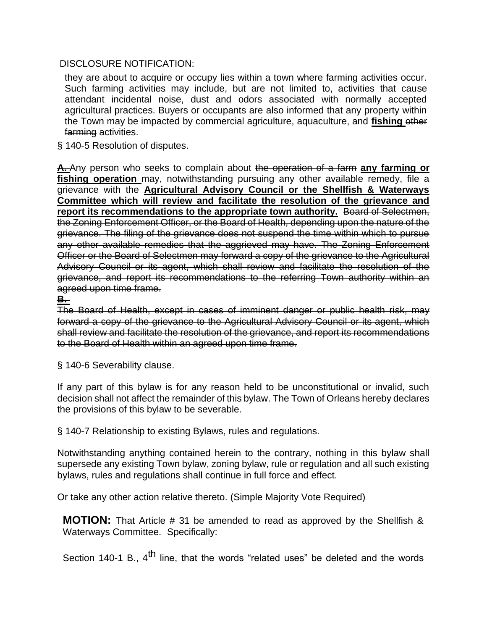### DISCLOSURE NOTIFICATION:

they are about to acquire or occupy lies within a town where farming activities occur. Such farming activities may include, but are not limited to, activities that cause attendant incidental noise, dust and odors associated with normally accepted agricultural practices. Buyers or occupants are also informed that any property within the Town may be impacted by commercial agriculture, aquaculture, and **fishing** other farming activities.

§ [140-5 Resolution of disputes.](https://ecode360.com/28463000#28494444)

**[A.](https://ecode360.com/28494445#28494445)** Any person who seeks to complain about the operation of a farm **any farming or fishing operation** may, notwithstanding pursuing any other available remedy, file a grievance with the **Agricultural Advisory Council or the Shellfish & Waterways Committee which will review and facilitate the resolution of the grievance and**  report its recommendations to the appropriate town authority. Board of Selectmen, the Zoning Enforcement Officer, or the Board of Health, depending upon the nature of the grievance. The filing of the grievance does not suspend the time within which to pursue any other available remedies that the aggrieved may have. The Zoning Enforcement Officer or the Board of Selectmen may forward a copy of the grievance to the Agricultural Advisory Council or its agent, which shall review and facilitate the resolution of the grievance, and report its recommendations to the referring Town authority within an agreed upon time frame.

# **[B.](https://ecode360.com/28494446#28494446)**

The Board of Health, except in cases of imminent danger or public health risk, may forward a copy of the grievance to the Agricultural Advisory Council or its agent, which shall review and facilitate the resolution of the grievance, and report its recommendations to the Board of Health within an agreed upon time frame.

§ [140-6 Severability clause.](https://ecode360.com/28463000#28494447)

If any part of this bylaw is for any reason held to be unconstitutional or invalid, such decision shall not affect the remainder of this bylaw. The Town of Orleans hereby declares the provisions of this bylaw to be severable.

§ [140-7 Relationship to existing Bylaws, rules and regulations.](https://ecode360.com/28463000#28494448) 

Notwithstanding anything contained herein to the contrary, nothing in this bylaw shall supersede any existing Town bylaw, zoning bylaw, rule or regulation and all such existing bylaws, rules and regulations shall continue in full force and effect.

Or take any other action relative thereto. (Simple Majority Vote Required)

**MOTION:** That Article # 31 be amended to read as approved by the Shellfish & Waterways Committee. Specifically:

Section 140-1 B.,  $4^{\text{th}}$  line, that the words "related uses" be deleted and the words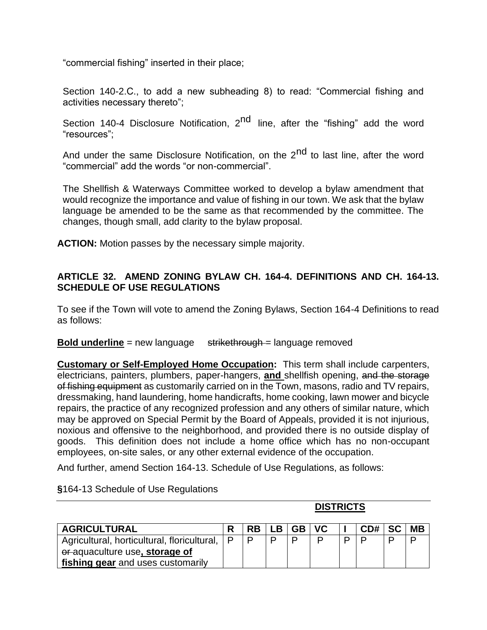"commercial fishing" inserted in their place;

Section 140-2.C., to add a new subheading 8) to read: "Commercial fishing and activities necessary thereto";

Section 140-4 Disclosure Notification, 2<sup>nd</sup> line, after the "fishing" add the word "resources";

And under the same Disclosure Notification, on the 2<sup>nd</sup> to last line, after the word "commercial" add the words "or non-commercial".

The Shellfish & Waterways Committee worked to develop a bylaw amendment that would recognize the importance and value of fishing in our town. We ask that the bylaw language be amended to be the same as that recommended by the committee. The changes, though small, add clarity to the bylaw proposal.

**ACTION:** Motion passes by the necessary simple majority.

### **ARTICLE 32. AMEND ZONING BYLAW CH. 164-4. DEFINITIONS AND CH. 164-13. SCHEDULE OF USE REGULATIONS**

To see if the Town will vote to amend the Zoning Bylaws, Section 164-4 Definitions to read as follows:

**Bold underline** = new language strikethrough = language removed

**Customary or Self-Employed Home Occupation:** This term shall include carpenters, electricians, painters, plumbers, paper-hangers, **and** shellfish opening, and the storage of fishing equipment as customarily carried on in the Town, masons, radio and TV repairs, dressmaking, hand laundering, home handicrafts, home cooking, lawn mower and bicycle repairs, the practice of any recognized profession and any others of similar nature, which may be approved on Special Permit by the Board of Appeals, provided it is not injurious, noxious and offensive to the neighborhood, and provided there is no outside display of goods. This definition does not include a home office which has no non-occupant employees, on-site sales, or any other external evidence of the occupation.

And further, amend Section 164-13. Schedule of Use Regulations, as follows:

|                                             | <b>DISTRICTS</b> |           |    |           |     |  |     |           |           |
|---------------------------------------------|------------------|-----------|----|-----------|-----|--|-----|-----------|-----------|
| <b>AGRICULTURAL</b>                         |                  | <b>RB</b> | LВ | <b>GB</b> | VC. |  | CD# | <b>SC</b> | <b>MB</b> |
| Agricultural, horticultural, floricultural, | ∣ P              | D         |    | n         | D   |  |     |           |           |
| or-aquaculture use, storage of              |                  |           |    |           |     |  |     |           |           |
| fishing gear and uses customarily           |                  |           |    |           |     |  |     |           |           |

**§**164-13 Schedule of Use Regulations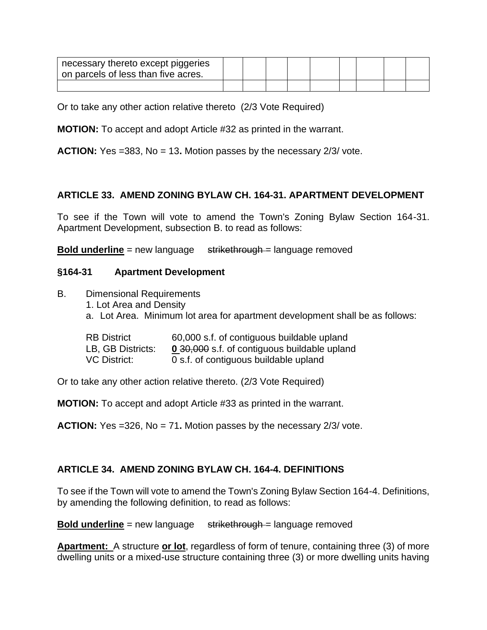| necessary thereto except piggeries<br>on parcels of less than five acres. |  |  |  |  |  |
|---------------------------------------------------------------------------|--|--|--|--|--|
|                                                                           |  |  |  |  |  |

Or to take any other action relative thereto (2/3 Vote Required)

**MOTION:** To accept and adopt Article #32 as printed in the warrant.

**ACTION:** Yes =383, No = 13**.** Motion passes by the necessary 2/3/ vote.

# **ARTICLE 33. AMEND ZONING BYLAW CH. 164-31. APARTMENT DEVELOPMENT**

To see if the Town will vote to amend the Town's Zoning Bylaw Section 164-31. Apartment Development, subsection B. to read as follows:

**Bold underline** = new language strikethrough = language removed

## **§164-31 Apartment Development**

- B. Dimensional Requirements
	- 1. Lot Area and Density
	- a. Lot Area. Minimum lot area for apartment development shall be as follows:

| <b>RB District</b> | 60,000 s.f. of contiguous buildable upland   |
|--------------------|----------------------------------------------|
| LB, GB Districts:  | 0 30,000 s.f. of contiguous buildable upland |
| VC District:       | 0 s.f. of contiguous buildable upland        |

Or to take any other action relative thereto. (2/3 Vote Required)

**MOTION:** To accept and adopt Article #33 as printed in the warrant.

**ACTION:** Yes =326, No = 71**.** Motion passes by the necessary 2/3/ vote.

# **ARTICLE 34. AMEND ZONING BYLAW CH. 164-4. DEFINITIONS**

To see if the Town will vote to amend the Town's Zoning Bylaw Section 164-4. Definitions, by amending the following definition, to read as follows:

**Bold underline** = new language strikethrough = language removed

**Apartment:** A structure **or lot**, regardless of form of tenure, containing three (3) of more dwelling units or a mixed-use structure containing three (3) or more dwelling units having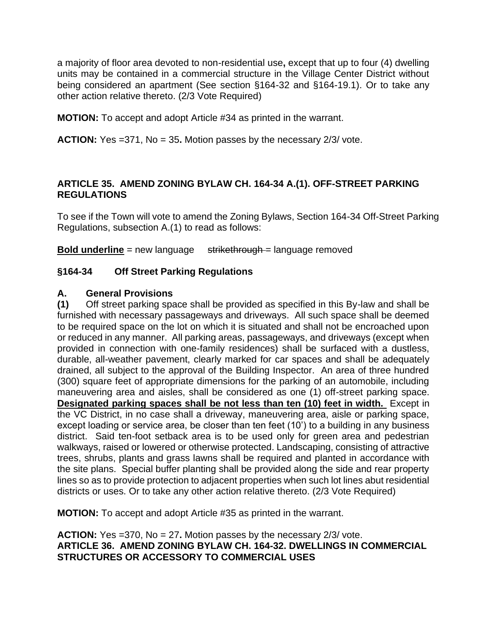a majority of floor area devoted to non-residential use**,** except that up to four (4) dwelling units may be contained in a commercial structure in the Village Center District without being considered an apartment (See section §164-32 and §164-19.1). Or to take any other action relative thereto. (2/3 Vote Required)

**MOTION:** To accept and adopt Article #34 as printed in the warrant.

**ACTION:** Yes =371, No = 35**.** Motion passes by the necessary 2/3/ vote.

## **ARTICLE 35. AMEND ZONING BYLAW CH. 164-34 A.(1). OFF-STREET PARKING REGULATIONS**

To see if the Town will vote to amend the Zoning Bylaws, Section 164-34 Off-Street Parking Regulations, subsection A.(1) to read as follows:

**Bold underline** = new language strikethrough = language removed

## **§164-34 Off Street Parking Regulations**

#### **A. General Provisions**

**(1)** Off street parking space shall be provided as specified in this By-law and shall be furnished with necessary passageways and driveways. All such space shall be deemed to be required space on the lot on which it is situated and shall not be encroached upon or reduced in any manner. All parking areas, passageways, and driveways (except when provided in connection with one-family residences) shall be surfaced with a dustless, durable, all-weather pavement, clearly marked for car spaces and shall be adequately drained, all subject to the approval of the Building Inspector. An area of three hundred (300) square feet of appropriate dimensions for the parking of an automobile, including maneuvering area and aisles, shall be considered as one (1) off-street parking space. **Designated parking spaces shall be not less than ten (10) feet in width.** Except in the VC District, in no case shall a driveway, maneuvering area, aisle or parking space, except loading or service area, be closer than ten feet (10') to a building in any business district. Said ten-foot setback area is to be used only for green area and pedestrian walkways, raised or lowered or otherwise protected. Landscaping, consisting of attractive trees, shrubs, plants and grass lawns shall be required and planted in accordance with the site plans. Special buffer planting shall be provided along the side and rear property lines so as to provide protection to adjacent properties when such lot lines abut residential districts or uses. Or to take any other action relative thereto. (2/3 Vote Required)

**MOTION:** To accept and adopt Article #35 as printed in the warrant.

**ACTION:** Yes =370, No = 27**.** Motion passes by the necessary 2/3/ vote. **ARTICLE 36. AMEND ZONING BYLAW CH. 164-32. DWELLINGS IN COMMERCIAL STRUCTURES OR ACCESSORY TO COMMERCIAL USES**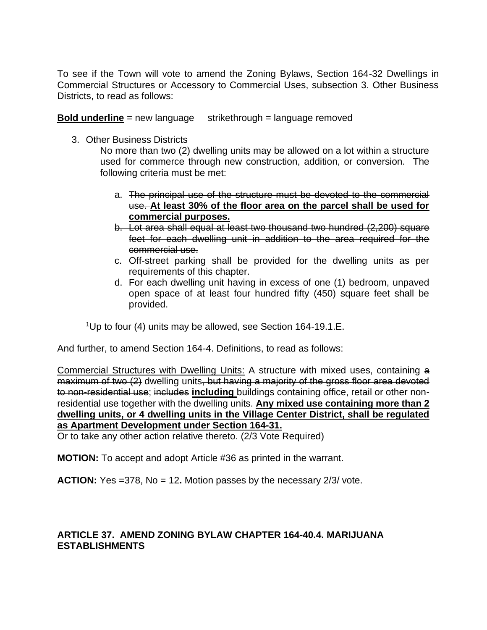To see if the Town will vote to amend the Zoning Bylaws, Section 164-32 Dwellings in Commercial Structures or Accessory to Commercial Uses, subsection 3. Other Business Districts, to read as follows:

**Bold underline** = new language strikethrough = language removed

3. Other Business Districts

No more than two (2) dwelling units may be allowed on a lot within a structure used for commerce through new construction, addition, or conversion. The following criteria must be met:

- a. The principal use of the structure must be devoted to the commercial use. **At least 30% of the floor area on the parcel shall be used for commercial purposes.**
- b. Lot area shall equal at least two thousand two hundred (2,200) square feet for each dwelling unit in addition to the area required for the commercial use.
- c. Off-street parking shall be provided for the dwelling units as per requirements of this chapter.
- d. For each dwelling unit having in excess of one (1) bedroom, unpaved open space of at least four hundred fifty (450) square feet shall be provided.

<sup>1</sup>Up to four (4) units may be allowed, see Section 164-19.1.E.

And further, to amend Section 164-4. Definitions, to read as follows:

Commercial Structures with Dwelling Units: A structure with mixed uses, containing a maximum of two (2) dwelling units, but having a majority of the gross floor area devoted to non-residential use; includes **including** buildings containing office, retail or other nonresidential use together with the dwelling units. **Any mixed use containing more than 2 dwelling units, or 4 dwelling units in the Village Center District, shall be regulated as Apartment Development under Section 164-31.**

Or to take any other action relative thereto. (2/3 Vote Required)

**MOTION:** To accept and adopt Article #36 as printed in the warrant.

**ACTION:** Yes =378, No = 12**.** Motion passes by the necessary 2/3/ vote.

# **ARTICLE 37. AMEND ZONING BYLAW CHAPTER 164-40.4. MARIJUANA ESTABLISHMENTS**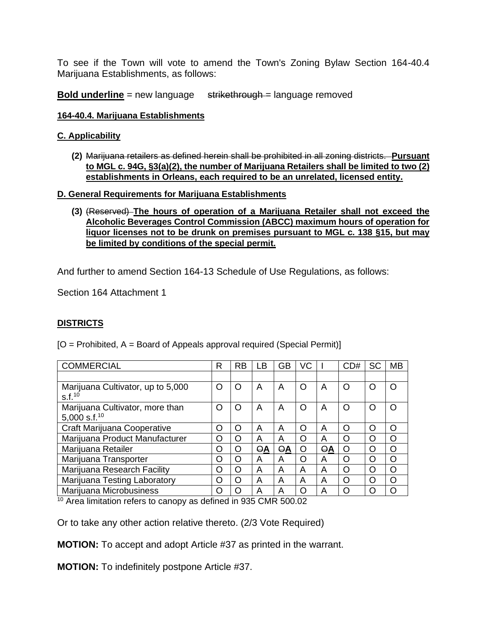To see if the Town will vote to amend the Town's Zoning Bylaw Section 164-40.4 Marijuana Establishments, as follows:

**Bold underline** = new language strikethrough = language removed

#### **164-40.4. Marijuana Establishments**

#### **C. Applicability**

**(2)** Marijuana retailers as defined herein shall be prohibited in all zoning districts. **Pursuant to MGL c. 94G, §3(a)(2), the number of Marijuana Retailers shall be limited to two (2) establishments in Orleans, each required to be an unrelated, licensed entity.**

#### **D. General Requirements for Marijuana Establishments**

**(3)** (Reserved) **The hours of operation of a Marijuana Retailer shall not exceed the Alcoholic Beverages Control Commission (ABCC) maximum hours of operation for liquor licenses not to be drunk on premises pursuant to MGL c. 138 §15, but may be limited by conditions of the special permit.**

And further to amend Section 164-13 Schedule of Use Regulations, as follows:

Section 164 Attachment 1

### **DISTRICTS**

 $[O =$  Prohibited,  $A =$  Board of Appeals approval required (Special Permit)

| <b>COMMERCIAL</b>                                       | R | RB       | LВ         | <b>GB</b>  | VC       |    | CD# | <b>SC</b> | <b>MB</b> |
|---------------------------------------------------------|---|----------|------------|------------|----------|----|-----|-----------|-----------|
|                                                         |   |          |            |            |          |    |     |           |           |
| Marijuana Cultivator, up to 5,000<br>S.f. <sup>10</sup> | O | O        | A          | A          | O        | A  | Ω   |           |           |
| Marijuana Cultivator, more than<br>5,000 s.f. $^{10}$   | O | $\Omega$ | A          | A          | Ω        | Α  | ∩   |           |           |
| Craft Marijuana Cooperative                             | O | O        | A          | A          | O        | Α  | ∩   | O         | O         |
| Marijuana Product Manufacturer                          | O | $\Omega$ | A          | A          | O        | Α  | Ω   | $\cap$    | ∩         |
| Marijuana Retailer                                      | O | O        | $\Theta$ A | $\Theta$ A | O        | ΘA | Ω   | $\bigcap$ | ∩         |
| Marijuana Transporter                                   | O | O        | A          | A          | $\Omega$ | Α  | Ω   | O         | ∩         |
| Marijuana Research Facility                             | O | $\Omega$ | A          | A          | A        | A  | O   | $\bigcap$ | O         |
| Marijuana Testing Laboratory                            | Ω | O        | A          | A          | A        | A  | Ω   | O         | ∩         |
| Marijuana Microbusiness                                 | O | $\cap$   | А          | А          | Ω        | А  | O   |           |           |

<sup>10</sup> Area limitation refers to canopy as defined in 935 CMR 500.02

Or to take any other action relative thereto. (2/3 Vote Required)

**MOTION:** To accept and adopt Article #37 as printed in the warrant.

**MOTION:** To indefinitely postpone Article #37.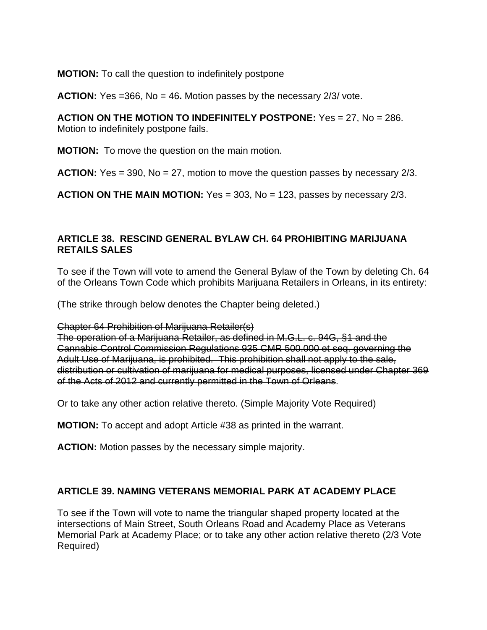**MOTION:** To call the question to indefinitely postpone

**ACTION:** Yes =366, No = 46**.** Motion passes by the necessary 2/3/ vote.

**ACTION ON THE MOTION TO INDEFINITELY POSTPONE:** Yes = 27, No = 286. Motion to indefinitely postpone fails.

**MOTION:** To move the question on the main motion.

**ACTION:** Yes = 390, No = 27, motion to move the question passes by necessary 2/3.

**ACTION ON THE MAIN MOTION:** Yes = 303, No = 123, passes by necessary 2/3.

### **ARTICLE 38. RESCIND GENERAL BYLAW CH. 64 PROHIBITING MARIJUANA RETAILS SALES**

To see if the Town will vote to amend the General Bylaw of the Town by deleting Ch. 64 of the Orleans Town Code which prohibits Marijuana Retailers in Orleans, in its entirety:

(The strike through below denotes the Chapter being deleted.)

Chapter 64 Prohibition of Marijuana Retailer(s)

The operation of a Marijuana Retailer, as defined in M.G.L. c. 94G, §1 and the Cannabis Control Commission Regulations 935 CMR 500.000 et seq. governing the Adult Use of Marijuana, is prohibited. This prohibition shall not apply to the sale, distribution or cultivation of marijuana for medical purposes, licensed under Chapter 369 of the Acts of 2012 and currently permitted in the Town of Orleans.

Or to take any other action relative thereto. (Simple Majority Vote Required)

**MOTION:** To accept and adopt Article #38 as printed in the warrant.

**ACTION:** Motion passes by the necessary simple majority.

### **ARTICLE 39. NAMING VETERANS MEMORIAL PARK AT ACADEMY PLACE**

To see if the Town will vote to name the triangular shaped property located at the intersections of Main Street, South Orleans Road and Academy Place as Veterans Memorial Park at Academy Place; or to take any other action relative thereto (2/3 Vote Required)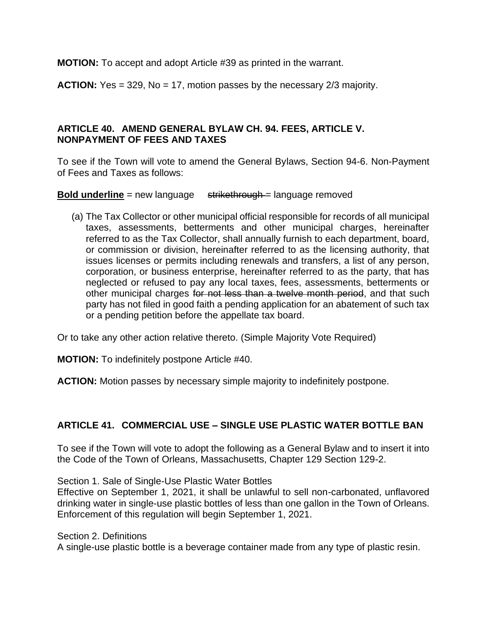**MOTION:** To accept and adopt Article #39 as printed in the warrant.

**ACTION:** Yes = 329, No = 17, motion passes by the necessary 2/3 majority.

### **ARTICLE 40. AMEND GENERAL BYLAW CH. 94. FEES, ARTICLE V. NONPAYMENT OF FEES AND TAXES**

To see if the Town will vote to amend the General Bylaws, Section 94-6. Non-Payment of Fees and Taxes as follows:

**Bold underline** = new language strikethrough = language removed

(a) The Tax Collector or other municipal official responsible for records of all municipal taxes, assessments, betterments and other municipal charges, hereinafter referred to as the Tax Collector, shall annually furnish to each department, board, or commission or division, hereinafter referred to as the licensing authority, that issues licenses or permits including renewals and transfers, a list of any person, corporation, or business enterprise, hereinafter referred to as the party, that has neglected or refused to pay any local taxes, fees, assessments, betterments or other municipal charges for not less than a twelve month period, and that such party has not filed in good faith a pending application for an abatement of such tax or a pending petition before the appellate tax board.

Or to take any other action relative thereto. (Simple Majority Vote Required)

**MOTION:** To indefinitely postpone Article #40.

**ACTION:** Motion passes by necessary simple majority to indefinitely postpone.

### **ARTICLE 41. COMMERCIAL USE – SINGLE USE PLASTIC WATER BOTTLE BAN**

To see if the Town will vote to adopt the following as a General Bylaw and to insert it into the Code of the Town of Orleans, Massachusetts, Chapter 129 Section 129-2.

Section 1. Sale of Single-Use Plastic Water Bottles

Effective on September 1, 2021, it shall be unlawful to sell non-carbonated, unflavored drinking water in single-use plastic bottles of less than one gallon in the Town of Orleans. Enforcement of this regulation will begin September 1, 2021.

Section 2. Definitions

A single-use plastic bottle is a beverage container made from any type of plastic resin.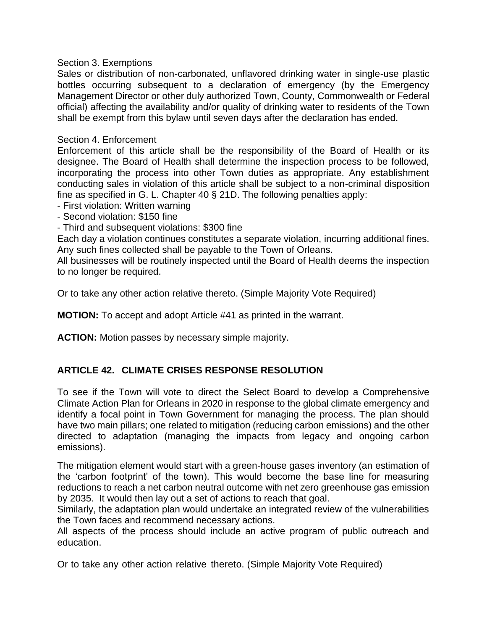#### Section 3. Exemptions

Sales or distribution of non-carbonated, unflavored drinking water in single-use plastic bottles occurring subsequent to a declaration of emergency (by the Emergency Management Director or other duly authorized Town, County, Commonwealth or Federal official) affecting the availability and/or quality of drinking water to residents of the Town shall be exempt from this bylaw until seven days after the declaration has ended.

#### Section 4. Enforcement

Enforcement of this article shall be the responsibility of the Board of Health or its designee. The Board of Health shall determine the inspection process to be followed, incorporating the process into other Town duties as appropriate. Any establishment conducting sales in violation of this article shall be subject to a non-criminal disposition fine as specified in G. L. Chapter 40 § 21D. The following penalties apply:

- First violation: Written warning
- Second violation: \$150 fine
- Third and subsequent violations: \$300 fine

Each day a violation continues constitutes a separate violation, incurring additional fines. Any such fines collected shall be payable to the Town of Orleans.

All businesses will be routinely inspected until the Board of Health deems the inspection to no longer be required.

Or to take any other action relative thereto. (Simple Majority Vote Required)

**MOTION:** To accept and adopt Article #41 as printed in the warrant.

**ACTION:** Motion passes by necessary simple majority.

### **ARTICLE 42. CLIMATE CRISES RESPONSE RESOLUTION**

To see if the Town will vote to direct the Select Board to develop a Comprehensive Climate Action Plan for Orleans in 2020 in response to the global climate emergency and identify a focal point in Town Government for managing the process. The plan should have two main pillars; one related to mitigation (reducing carbon emissions) and the other directed to adaptation (managing the impacts from legacy and ongoing carbon emissions).

The mitigation element would start with a green-house gases inventory (an estimation of the 'carbon footprint' of the town). This would become the base line for measuring reductions to reach a net carbon neutral outcome with net zero greenhouse gas emission by 2035. It would then lay out a set of actions to reach that goal.

Similarly, the adaptation plan would undertake an integrated review of the vulnerabilities the Town faces and recommend necessary actions.

All aspects of the process should include an active program of public outreach and education.

Or to take any other action relative thereto. (Simple Majority Vote Required)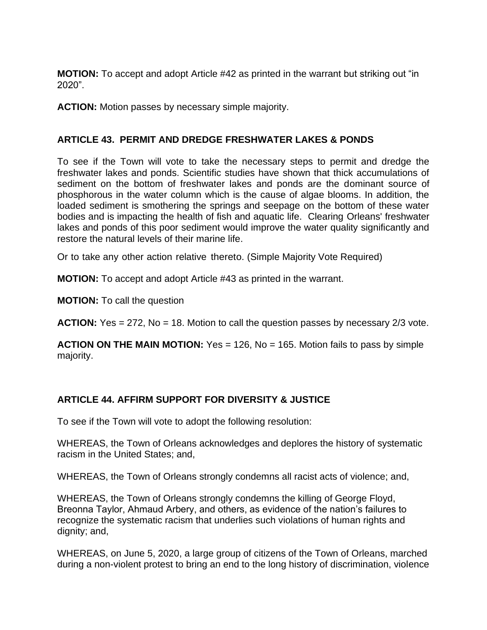**MOTION:** To accept and adopt Article #42 as printed in the warrant but striking out "in 2020".

**ACTION:** Motion passes by necessary simple majority.

# **ARTICLE 43. PERMIT AND DREDGE FRESHWATER LAKES & PONDS**

To see if the Town will vote to take the necessary steps to permit and dredge the freshwater lakes and ponds. Scientific studies have shown that thick accumulations of sediment on the bottom of freshwater lakes and ponds are the dominant source of phosphorous in the water column which is the cause of algae blooms. In addition, the loaded sediment is smothering the springs and seepage on the bottom of these water bodies and is impacting the health of fish and aquatic life. Clearing Orleans' freshwater lakes and ponds of this poor sediment would improve the water quality significantly and restore the natural levels of their marine life.

Or to take any other action relative thereto. (Simple Majority Vote Required)

**MOTION:** To accept and adopt Article #43 as printed in the warrant.

**MOTION:** To call the question

**ACTION:** Yes = 272, No = 18. Motion to call the question passes by necessary 2/3 vote.

**ACTION ON THE MAIN MOTION:** Yes = 126, No = 165. Motion fails to pass by simple majority.

# **ARTICLE 44. AFFIRM SUPPORT FOR DIVERSITY & JUSTICE**

To see if the Town will vote to adopt the following resolution:

WHEREAS, the Town of Orleans acknowledges and deplores the history of systematic racism in the United States; and,

WHEREAS, the Town of Orleans strongly condemns all racist acts of violence; and,

WHEREAS, the Town of Orleans strongly condemns the killing of George Floyd, Breonna Taylor, Ahmaud Arbery, and others, as evidence of the nation's failures to recognize the systematic racism that underlies such violations of human rights and dignity; and,

WHEREAS, on June 5, 2020, a large group of citizens of the Town of Orleans, marched during a non-violent protest to bring an end to the long history of discrimination, violence